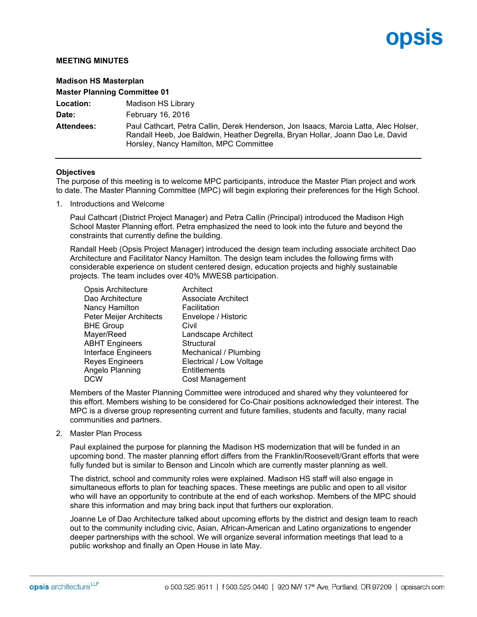## opsis

## **MEETING MINUTES**

| <b>Madison HS Masterplan</b><br><b>Master Planning Committee 01</b> |                                                                                                                                                                                                                  |  |
|---------------------------------------------------------------------|------------------------------------------------------------------------------------------------------------------------------------------------------------------------------------------------------------------|--|
|                                                                     |                                                                                                                                                                                                                  |  |
| Date:                                                               | February 16, 2016                                                                                                                                                                                                |  |
| <b>Attendees:</b>                                                   | Paul Cathcart, Petra Callin, Derek Henderson, Jon Isaacs, Marcia Latta, Alec Holser,<br>Randall Heeb, Joe Baldwin, Heather Degrella, Bryan Hollar, Joann Dao Le, David<br>Horsley, Nancy Hamilton, MPC Committee |  |

## **Objectives**

The purpose of this meeting is to welcome MPC participants, introduce the Master Plan project and work to date. The Master Planning Committee (MPC) will begin exploring their preferences for the High School.

1. Introductions and Welcome

Paul Cathcart (District Project Manager) and Petra Callin (Principal) introduced the Madison High School Master Planning effort. Petra emphasized the need to look into the future and beyond the constraints that currently define the building.

Randall Heeb (Opsis Project Manager) introduced the design team including associate architect Dao Architecture and Facilitator Nancy Hamilton. The design team includes the following firms with considerable experience on student centered design, education projects and highly sustainable projects. The team includes over 40% MWESB participation.

| <b>Opsis Architecture</b>  | Architect                  |
|----------------------------|----------------------------|
| Dao Architecture           | <b>Associate Architect</b> |
| Nancy Hamilton             | Facilitation               |
| Peter Meijer Architects    | Envelope / Historic        |
| <b>BHE Group</b>           | Civil                      |
| Mayer/Reed                 | Landscape Architect        |
| <b>ABHT Engineers</b>      | Structural                 |
| <b>Interface Engineers</b> | Mechanical / Plumbing      |
| <b>Reyes Engineers</b>     | Electrical / Low Voltage   |
| Angelo Planning            | Entitlements               |
| <b>DCW</b>                 | Cost Management            |

Members of the Master Planning Committee were introduced and shared why they volunteered for this effort. Members wishing to be considered for Co-Chair positions acknowledged their interest. The MPC is a diverse group representing current and future families, students and faculty, many racial communities and partners.

2. Master Plan Process

Paul explained the purpose for planning the Madison HS modernization that will be funded in an upcoming bond. The master planning effort differs from the Franklin/Roosevelt/Grant efforts that were fully funded but is similar to Benson and Lincoln which are currently master planning as well.

The district, school and community roles were explained. Madison HS staff will also engage in simultaneous efforts to plan for teaching spaces. These meetings are public and open to all visitor who will have an opportunity to contribute at the end of each workshop. Members of the MPC should share this information and may bring back input that furthers our exploration.

Joanne Le of Dao Architecture talked about upcoming efforts by the district and design team to reach out to the community including civic, Asian, African-American and Latino organizations to engender deeper partnerships with the school. We will organize several information meetings that lead to a public workshop and finally an Open House in late May.